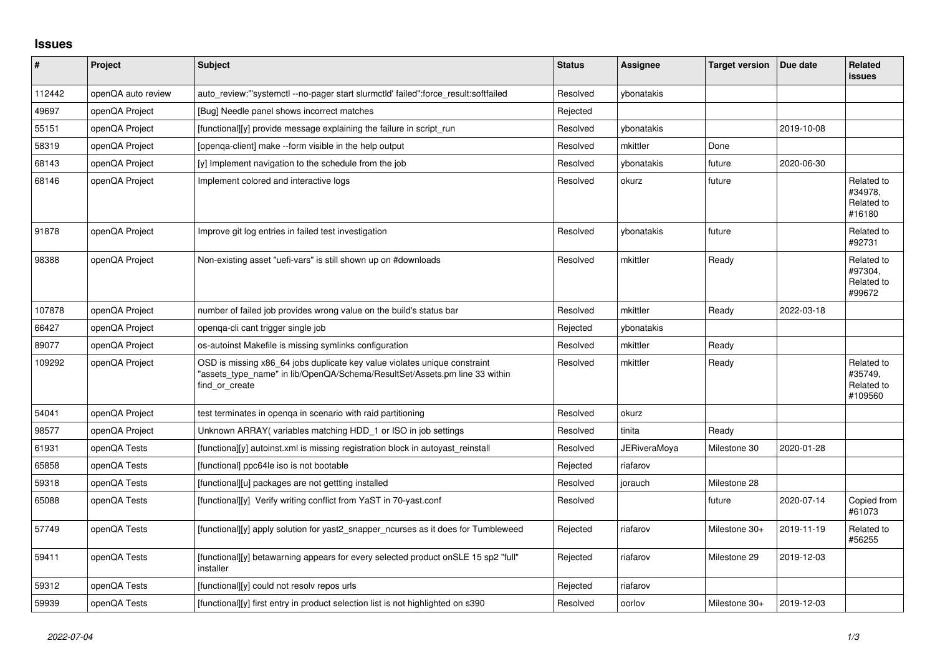## **Issues**

| #      | Project            | <b>Subject</b>                                                                                                                                                            | <b>Status</b> | Assignee            | <b>Target version</b> | Due date   | <b>Related</b><br><b>issues</b>                |
|--------|--------------------|---------------------------------------------------------------------------------------------------------------------------------------------------------------------------|---------------|---------------------|-----------------------|------------|------------------------------------------------|
| 112442 | openQA auto review | auto review:"'systemctl--no-pager start slurmctld' failed":force result:softfailed                                                                                        | Resolved      | ybonatakis          |                       |            |                                                |
| 49697  | openQA Project     | [Bug] Needle panel shows incorrect matches                                                                                                                                | Rejected      |                     |                       |            |                                                |
| 55151  | openQA Project     | [functional][y] provide message explaining the failure in script run                                                                                                      | Resolved      | ybonatakis          |                       | 2019-10-08 |                                                |
| 58319  | openQA Project     | [openga-client] make --form visible in the help output                                                                                                                    | Resolved      | mkittler            | Done                  |            |                                                |
| 68143  | openQA Project     | [y] Implement navigation to the schedule from the job                                                                                                                     | Resolved      | ybonatakis          | future                | 2020-06-30 |                                                |
| 68146  | openQA Project     | Implement colored and interactive logs                                                                                                                                    | Resolved      | okurz               | future                |            | Related to<br>#34978.<br>Related to<br>#16180  |
| 91878  | openQA Project     | Improve git log entries in failed test investigation                                                                                                                      | Resolved      | ybonatakis          | future                |            | Related to<br>#92731                           |
| 98388  | openQA Project     | Non-existing asset "uefi-vars" is still shown up on #downloads                                                                                                            | Resolved      | mkittler            | Ready                 |            | Related to<br>#97304,<br>Related to<br>#99672  |
| 107878 | openQA Project     | number of failed job provides wrong value on the build's status bar                                                                                                       | Resolved      | mkittler            | Ready                 | 2022-03-18 |                                                |
| 66427  | openQA Project     | openga-cli cant trigger single job                                                                                                                                        | Rejected      | ybonatakis          |                       |            |                                                |
| 89077  | openQA Project     | os-autoinst Makefile is missing symlinks configuration                                                                                                                    | Resolved      | mkittler            | Ready                 |            |                                                |
| 109292 | openQA Project     | OSD is missing x86_64 jobs duplicate key value violates unique constraint<br>"assets_type_name" in lib/OpenQA/Schema/ResultSet/Assets.pm line 33 within<br>find or create | Resolved      | mkittler            | Ready                 |            | Related to<br>#35749,<br>Related to<br>#109560 |
| 54041  | openQA Project     | test terminates in openga in scenario with raid partitioning                                                                                                              | Resolved      | okurz               |                       |            |                                                |
| 98577  | openQA Project     | Unknown ARRAY(variables matching HDD_1 or ISO in job settings                                                                                                             | Resolved      | tinita              | Ready                 |            |                                                |
| 61931  | openQA Tests       | [functiona][y] autoinst.xml is missing registration block in autoyast_reinstall                                                                                           | Resolved      | <b>JERiveraMoya</b> | Milestone 30          | 2020-01-28 |                                                |
| 65858  | openQA Tests       | [functional] ppc64le iso is not bootable                                                                                                                                  | Rejected      | riafarov            |                       |            |                                                |
| 59318  | openQA Tests       | [functional][u] packages are not gettting installed                                                                                                                       | Resolved      | jorauch             | Milestone 28          |            |                                                |
| 65088  | openQA Tests       | [functional][y] Verify writing conflict from YaST in 70-yast.conf                                                                                                         | Resolved      |                     | future                | 2020-07-14 | Copied from<br>#61073                          |
| 57749  | openQA Tests       | [functional][y] apply solution for yast2_snapper_ncurses as it does for Tumbleweed                                                                                        | Rejected      | riafarov            | Milestone 30+         | 2019-11-19 | Related to<br>#56255                           |
| 59411  | openQA Tests       | [functional][y] betawarning appears for every selected product onSLE 15 sp2 "full"<br>installer                                                                           | Rejected      | riafarov            | Milestone 29          | 2019-12-03 |                                                |
| 59312  | openQA Tests       | [functional][y] could not resolv repos urls                                                                                                                               | Rejected      | riafarov            |                       |            |                                                |
| 59939  | openQA Tests       | [functional][y] first entry in product selection list is not highlighted on s390                                                                                          | Resolved      | oorlov              | Milestone 30+         | 2019-12-03 |                                                |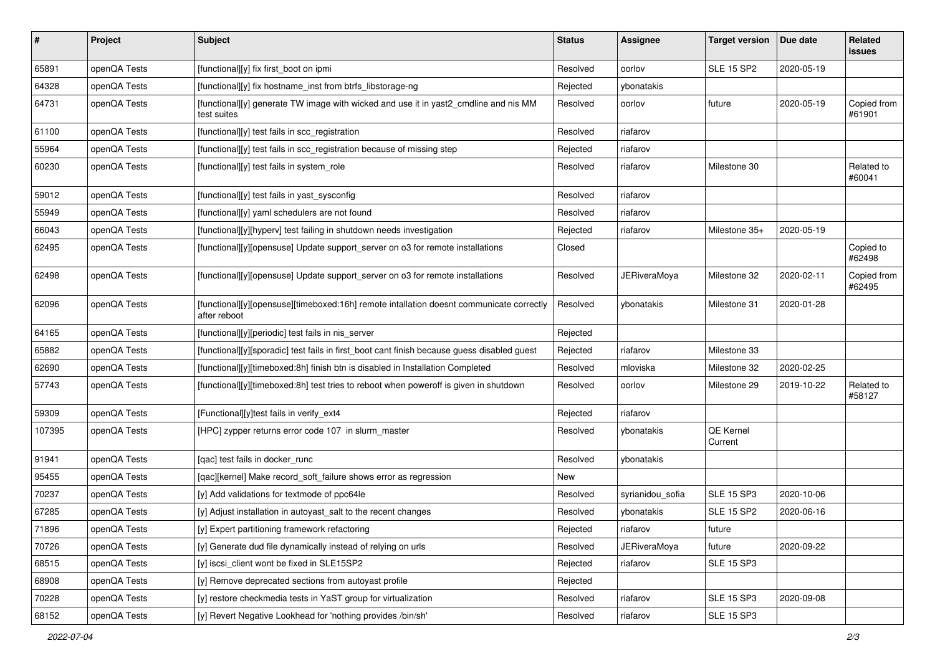| $\sharp$ | Project      | <b>Subject</b>                                                                                           | <b>Status</b> | <b>Assignee</b>     | <b>Target version</b> | Due date   | Related<br>issues     |
|----------|--------------|----------------------------------------------------------------------------------------------------------|---------------|---------------------|-----------------------|------------|-----------------------|
| 65891    | openQA Tests | [functional][y] fix first_boot on ipmi                                                                   | Resolved      | oorlov              | <b>SLE 15 SP2</b>     | 2020-05-19 |                       |
| 64328    | openQA Tests | [functional][y] fix hostname_inst from btrfs_libstorage-ng                                               | Rejected      | ybonatakis          |                       |            |                       |
| 64731    | openQA Tests | [functional][y] generate TW image with wicked and use it in yast2_cmdline and nis MM<br>test suites      | Resolved      | oorlov              | future                | 2020-05-19 | Copied from<br>#61901 |
| 61100    | openQA Tests | [functional][y] test fails in scc_registration                                                           | Resolved      | riafarov            |                       |            |                       |
| 55964    | openQA Tests | [functional][y] test fails in scc_registration because of missing step                                   | Rejected      | riafarov            |                       |            |                       |
| 60230    | openQA Tests | [functional][y] test fails in system_role                                                                | Resolved      | riafarov            | Milestone 30          |            | Related to<br>#60041  |
| 59012    | openQA Tests | [functional][y] test fails in yast_sysconfig                                                             | Resolved      | riafarov            |                       |            |                       |
| 55949    | openQA Tests | [functional][y] yaml schedulers are not found                                                            | Resolved      | riafarov            |                       |            |                       |
| 66043    | openQA Tests | [functional][y][hyperv] test failing in shutdown needs investigation                                     | Rejected      | riafarov            | Milestone 35+         | 2020-05-19 |                       |
| 62495    | openQA Tests | [functional][y][opensuse] Update support_server on o3 for remote installations                           | Closed        |                     |                       |            | Copied to<br>#62498   |
| 62498    | openQA Tests | [functional][y][opensuse] Update support_server on o3 for remote installations                           | Resolved      | <b>JERiveraMoya</b> | Milestone 32          | 2020-02-11 | Copied from<br>#62495 |
| 62096    | openQA Tests | [functional][y][opensuse][timeboxed:16h] remote intallation doesnt communicate correctly<br>after reboot | Resolved      | ybonatakis          | Milestone 31          | 2020-01-28 |                       |
| 64165    | openQA Tests | [functional][y][periodic] test fails in nis_server                                                       | Rejected      |                     |                       |            |                       |
| 65882    | openQA Tests | [functional][y][sporadic] test fails in first_boot cant finish because guess disabled guest              | Rejected      | riafarov            | Milestone 33          |            |                       |
| 62690    | openQA Tests | [functional][y][timeboxed:8h] finish btn is disabled in Installation Completed                           | Resolved      | mloviska            | Milestone 32          | 2020-02-25 |                       |
| 57743    | openQA Tests | [functional][y][timeboxed:8h] test tries to reboot when poweroff is given in shutdown                    | Resolved      | oorlov              | Milestone 29          | 2019-10-22 | Related to<br>#58127  |
| 59309    | openQA Tests | [Functional][y]test fails in verify_ext4                                                                 | Rejected      | riafarov            |                       |            |                       |
| 107395   | openQA Tests | [HPC] zypper returns error code 107 in slurm master                                                      | Resolved      | ybonatakis          | QE Kernel<br>Current  |            |                       |
| 91941    | openQA Tests | [qac] test fails in docker_runc                                                                          | Resolved      | ybonatakis          |                       |            |                       |
| 95455    | openQA Tests | [qac][kernel] Make record_soft_failure shows error as regression                                         | New           |                     |                       |            |                       |
| 70237    | openQA Tests | [y] Add validations for textmode of ppc64le                                                              | Resolved      | syrianidou_sofia    | <b>SLE 15 SP3</b>     | 2020-10-06 |                       |
| 67285    | openQA Tests | [y] Adjust installation in autoyast_salt to the recent changes                                           | Resolved      | ybonatakis          | <b>SLE 15 SP2</b>     | 2020-06-16 |                       |
| 71896    | openQA Tests | [y] Expert partitioning framework refactoring                                                            | Rejected      | riafarov            | future                |            |                       |
| 70726    | openQA Tests | [y] Generate dud file dynamically instead of relying on urls                                             | Resolved      | <b>JERiveraMoya</b> | future                | 2020-09-22 |                       |
| 68515    | openQA Tests | [y] iscsi client wont be fixed in SLE15SP2                                                               | Rejected      | riafarov            | <b>SLE 15 SP3</b>     |            |                       |
| 68908    | openQA Tests | [y] Remove deprecated sections from autoyast profile                                                     | Rejected      |                     |                       |            |                       |
| 70228    | openQA Tests | [y] restore checkmedia tests in YaST group for virtualization                                            | Resolved      | riafarov            | <b>SLE 15 SP3</b>     | 2020-09-08 |                       |
| 68152    | openQA Tests | [y] Revert Negative Lookhead for 'nothing provides /bin/sh'                                              | Resolved      | riafarov            | <b>SLE 15 SP3</b>     |            |                       |